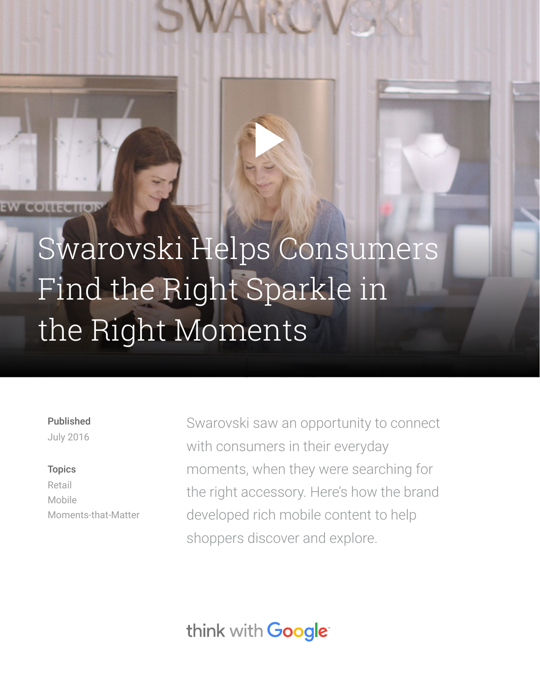# [Swarovski Helps Consumers](https://www.youtube.com/watch?v=MzB6sLQcF5s)  Find the Right Sparkle in the Right Moments

#### Published

July 2016

#### **Topics**

Retail Mobile Moments-that-Matter Swarovski saw an opportunity to connect with consumers in their everyday moments, when they were searching for the right accessory. Here's how the brand developed rich mobile content to help shoppers discover and explore.

think with Google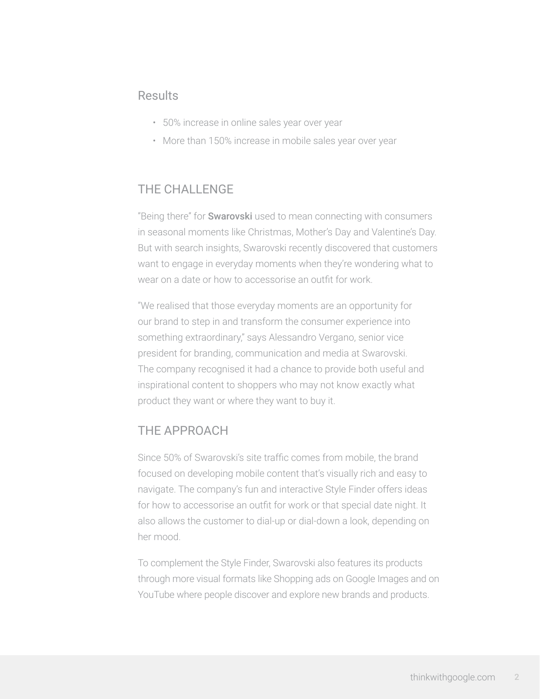## **Results**

- 50% increase in online sales year over year
- More than 150% increase in mobile sales year over year

### THE CHALLENGE

"Being there" for **Swarovski** used to mean connecting with consumers in seasonal moments like Christmas, Mother's Day and Valentine's Day. But with search insights, Swarovski recently discovered that customers want to engage in everyday moments when they're wondering what to wear on a date or how to accessorise an outfit for work.

"We realised that those everyday moments are an opportunity for our brand to step in and transform the consumer experience into something extraordinary," says Alessandro Vergano, senior vice president for branding, communication and media at Swarovski. The company recognised it had a chance to provide both useful and inspirational content to shoppers who may not know exactly what product they want or where they want to buy it.

## THE APPROACH

Since 50% of Swarovski's site traffic comes from mobile, the brand focused on developing mobile content that's visually rich and easy to navigate. The company's fun and interactive Style Finder offers ideas for how to accessorise an outfit for work or that special date night. It also allows the customer to dial-up or dial-down a look, depending on her mood.

To complement the Style Finder, Swarovski also features its products through more visual formats like Shopping ads on Google Images and on YouTube where people discover and explore new brands and products.